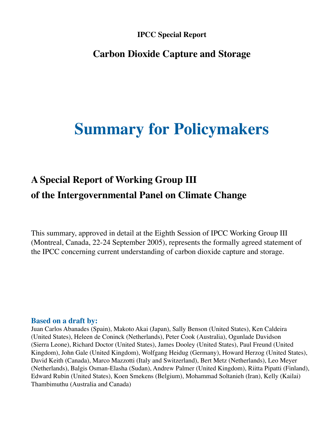**IPCC Special Report** 

### **Carbon Dioxide Capture and Storage**

# **Summary for Policymakers**

## **A Special Report of Working Group III of the Intergovernmental Panel on Climate Change**

This summary, approved in detail at the Eighth Session of IPCC Working Group III (Montreal, Canada, 22-24 September 2005), represents the formally agreed statement of the IPCC concerning current understanding of carbon dioxide capture and storage.

#### **Based on a draft by:**

Juan Carlos Abanades (Spain), Makoto Akai (Japan), Sally Benson (United States), Ken Caldeira (United States), Heleen de Coninck (Netherlands), Peter Cook (Australia), Ogunlade Davidson (Sierra Leone), Richard Doctor (United States), James Dooley (United States), Paul Freund (United Kingdom), John Gale (United Kingdom), Wolfgang Heidug (Germany), Howard Herzog (United States), David Keith (Canada), Marco Mazzotti (Italy and Switzerland), Bert Metz (Netherlands), Leo Meyer (Netherlands), Balgis Osman-Elasha (Sudan), Andrew Palmer (United Kingdom), Riitta Pipatti (Finland), Edward Rubin (United States), Koen Smekens (Belgium), Mohammad Soltanieh (Iran), Kelly (Kailai) Thambimuthu (Australia and Canada)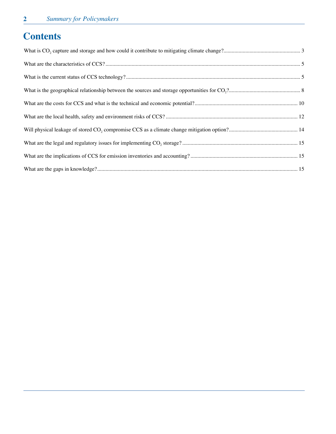### **Contents**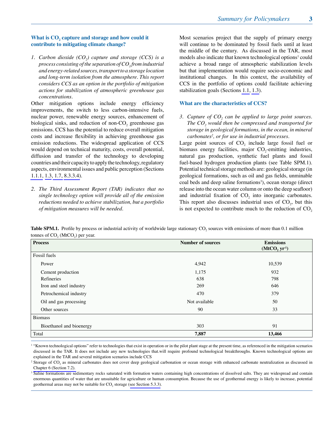#### <span id="page-2-0"></span>**What is CO<sub>2</sub> capture and storage and how could it contribute to mitigating climate change?**

*1. Carbon dioxide (CO<sub>2</sub>) capture and storage (CCS) is a process consisting of the separation of CO<sub>2</sub> from industrial and energy-related sources, transport to a storage location and long-term isolation from the atmosphere. This report considers CCS as an option in the portfolio of mitigation actions for stabilization of atmospheric greenhouse gas concentrations.* 

Other mitigation options include energy efficiency improvements, the switch to less carbon-intensive fuels, nuclear power, renewable energy sources, enhancement of biological sinks, and reduction of non-CO<sub>2</sub> greenhouse gas emissions. CCS has the potential to reduce overall mitigation costs and increase flexibility in achieving greenhouse gas emission reductions. The widespread application of CCS would depend on technical maturity, costs, overall potential, diffusion and transfer of the technology to developing countries and their capacity to apply the technology, regulatory aspects, environmental issues and public perception (Sections [1.1.1,](#page-3-0) [1.3](#page-6-0)[, 1.7, 8.3.3.4\)](#page-19-0).

*2. The Third Assessment Report (TAR) indicates that no single technology option will provide all of the emission reductions needed to achieve stabilization, but a portfolio of mitigation measures will be needed.*

Most scenarios project that the supply of primary energy will continue to be dominated by fossil fuels until at least the middle of the century. As discussed in the TAR, most models also indicate that known technological options<sup>1</sup> could achieve a broad range of atmospheric stabilization levels but that implementation would require socio-economic and institutional changes. In this context, the availability of CCS in the portfolio of options could facilitate achieving stabilization goals (Sections [1.1,](#page-3-1) [1.3\)](#page-6-0).

#### **What are the characteristics of CCS?**

*3. Capture of CO<sub>2</sub> can be applied to large point sources.* The  $CO<sub>2</sub>$  would then be compressed and transported for *storage in geological formations, in the ocean, in mineral carbonates , or for use in industrial processes.*

Large point sources of  $CO<sub>2</sub>$  include large fossil fuel or biomass energy facilities, major  $CO<sub>2</sub>$ -emitting industries, natural gas production, synthetic fuel plants and fossil fuel-based hydrogen production plants (see Table SPM.1). Potential technical storage methods are: geological storage (in geological formations, such as oil and gas fields, unminable coal beds and deep saline formations<sup>3</sup>), ocean storage (direct release into the ocean water column or onto the deep seafloor) and industrial fixation of  $CO<sub>2</sub>$  into inorganic carbonates. This report also discusses industrial uses of  $CO<sub>2</sub>$ , but this is not expected to contribute much to the reduction of  $CO<sub>2</sub>$ 

Table SPM.1. Profile by process or industrial activity of worldwide large stationary CO<sub>2</sub> sources with emissions of more than 0.1 million tonnes of  $CO<sub>2</sub>$  (MtCO<sub>2</sub>) per year.

| <b>Process</b>           | <b>Number of sources</b> | <b>Emissions</b><br>$(MtCO, yr-1)$ |  |
|--------------------------|--------------------------|------------------------------------|--|
| Fossil fuels             |                          |                                    |  |
| Power                    | 4,942                    | 10,539                             |  |
| Cement production        | 1,175                    | 932                                |  |
| Refineries               | 638                      | 798                                |  |
| Iron and steel industry  | 269                      | 646                                |  |
| Petrochemical industry   | 470                      | 379                                |  |
| Oil and gas processing   | Not available            | 50                                 |  |
| Other sources            | 90                       | 33                                 |  |
| <b>Biomass</b>           |                          |                                    |  |
| Bioethanol and bioenergy | 303                      | 91                                 |  |
| Total                    | 7,887                    | 13,466                             |  |

<sup>1</sup> "Known technological options" refer to technologies that exist in operation or in the pilot plant stage at the present time, as referenced in the mitigation scenarios discussed in the TAR. It does not include any new technologies that.will require profound technological breakthroughs. Known technological options are explained in the TAR and several mitigation scenarios include CCS

<sup>2</sup> Storage of CO<sub>2</sub> as mineral carbonates does not cover deep geological carbonation or ocean storage with enhanced carbonate neutralization as discussed in [Chapter 6 \(Section 7.2\).](#page-24-0)

<sup>3</sup> Saline formations are sedimentary rocks saturated with formation waters containing high concentrations of dissolved salts. They are widespread and contain enormous quantities of water that are unsuitable for agriculture or human consumption. Because the use of geothermal energy is likely to increase, potential geothermal areas may not be suitable for  $CO$ , storage ([see Section 5.3.3\)](#page-22-0).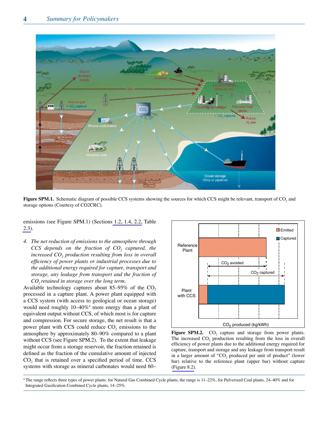<span id="page-3-1"></span><span id="page-3-0"></span>

Figure SPM.1. Schematic diagram of possible CCS systems showing the sources for which CCS might be relevant, transport of CO<sub>2</sub> and storage options (Courtesy of CO2CRC).

emissions (see Figure SPM.1) (Sections [1.2,](#page-4-0) [1.4](#page-8-0)[, 2.2,](#page-3-1) Table [2.3\)](#page-6-1).

*4. The net reduction of emissions to the atmosphere through CCS* depends on the fraction of CO<sub>2</sub> captured, the increased CO<sub>2</sub> production resulting from loss in overall *efficiency of power plants or industrial processes due to the additional energy required for capture, transport and storage, any leakage from transport and the fraction of*   $CO<sub>z</sub>$  retained in storage over the long term.

Available technology captures about  $85-95\%$  of the CO<sub>2</sub> processed in a capture plant. A power plant equipped with a CCS system (with access to geological or ocean storage) would need roughly 10–40%4 more energy than a plant of equivalent output without CCS, of which most is for capture and compression. For secure storage, the net result is that a power plant with CCS could reduce CO<sub>2</sub> emissions to the atmosphere by approximately 80–90% compared to a plant without CCS (see Figure SPM.2). To the extent that leakage might occur from a storage reservoir, the fraction retained is defined as the fraction of the cumulative amount of injected CO<sub>2</sub> that is retained over a specified period of time. CCS systems with storage as mineral carbonates would need 60–



capture, transport and storage and any leakage from transport result **Figure SPM.2.** CO<sub>2</sub> capture and storage from power plants. The increased CO<sub>2</sub> production resulting from the loss in overall efficiency of power plants due to the additional energy required for in a larger amount of "CO<sub>2</sub> produced per unit of product" (lower bar) relative to the reference plant (upper bar) without capture [\(Figure 8.2\)](#page-7-0).

4 The range reflects three types of power plants: for Natural Gas Combined Cycle plants, the range is 11–22%, for Pulverized Coal plants, 24–40% and for Integrated Gasification Combined Cycle plants, 14–25%.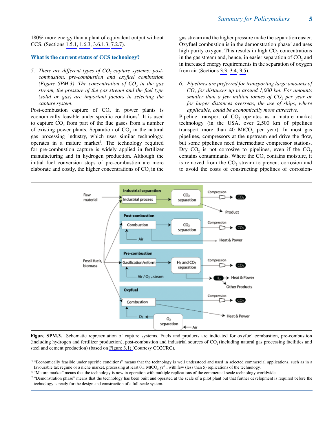<span id="page-4-1"></span><span id="page-4-0"></span>180% more energy than a plant of equivalent output without CCS. (Sections [1.5.1,](#page-11-0) [1.6.3,](#page-14-1) [3.6.1.](#page--1-0)[3,](#page-38-0) [7.2.7](#page-10-0)).

#### **What is the current status of CCS technology?**

5. There are different types of CO<sub>2</sub> capture systems: post*combustion, pre-combustion and oxyfuel combustion (Figure SPM.3). The concentration of CO<sub>2</sub> in the gas stream, the pressure of the gas stream and the fuel type (solid or gas) are important factors in selecting the capture system.*

Post-combustion capture of  $CO<sub>2</sub>$  in power plants is economically feasible under specific conditions<sup>5</sup>. It is used to capture  $CO<sub>2</sub>$  from part of the flue gases from a number of existing power plants. Separation of  $CO<sub>2</sub>$  in the natural gas processing industry, which uses similar technology, operates in a mature market<sup>6</sup>. The technology required for pre-combustion capture is widely applied in fertilizer manufacturing and in hydrogen production. Although the initial fuel conversion steps of pre-combustion are more elaborate and costly, the higher concentrations of  $CO<sub>2</sub>$  in the

gas stream and the higher pressure make the separation easier. Oxyfuel combustion is in the demonstration phase<sup>7</sup> and uses high purity oxygen. This results in high  $CO$ , concentrations in the gas stream and, hence, in easier separation of  $CO<sub>2</sub>$  and in increased energy requirements in the separation of oxygen from air (Sections [3.3,](#page-8-1) [3.4](#page-17-0), [3.5\)](#page-25-0).

*6. Pipelines are preferred for transporting large amounts of CO2 for distances up to around 1,000 km. For amounts smaller than a few million tonnes of CO<sub>2</sub> per year or for larger distances overseas, the use of ships, where applicable, could be economically more attractive.* 

Pipeline transport of CO<sub>2</sub> operates as a mature market technology (in the USA, over 2,500 km of pipelines transport more than 40 MtCO<sub>2</sub> per year). In most gas pipelines, compressors at the upstream end drive the flow, but some pipelines need intermediate compressor stations. Dry  $CO<sub>2</sub>$  is not corrosive to pipelines, even if the  $CO<sub>2</sub>$ contains contaminants. Where the  $CO<sub>2</sub>$  contains moisture, it is removed from the  $CO<sub>2</sub>$  stream to prevent corrosion and to avoid the costs of constructing pipelines of corrosion-



Figure SPM.3. Schematic representation of capture systems. Fuels and products are indicated for oxyfuel combustion, pre-combustion (including hydrogen and fertilizer production), post-combustion and industrial sources of CO<sub>2</sub> (including natural gas processing facilities and steel and cement production) (based on [Figure 3.1\) \(](#page-3-0)Courtesy CO2CRC).

<sup>7</sup> "Demonstration phase" means that the technology has been built and operated at the scale of a pilot plant but that further development is required before the technology is ready for the design and construction of a full-scale system.

<sup>&</sup>lt;sup>5</sup> "Economically feasible under specific conditions" means that the technology is well understood and used in selected commercial applications, such as in a favourable tax regime or a niche market, processing at least 0.1 MtCO<sub>2</sub> yr<sup>1</sup>, with few (less than 5) replications of the technology.

<sup>6</sup> "Mature market" means that the technology is now in operation with multiple replications of the commercial-scale technology worldwide.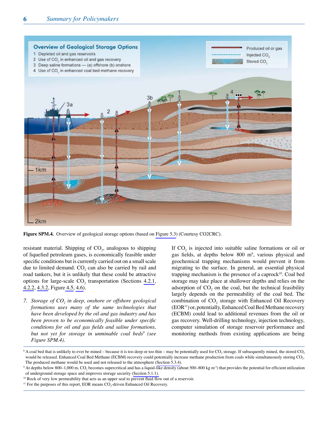<span id="page-5-1"></span><span id="page-5-0"></span>

**Figure SPM.4.** Overview of geological storage options (based on [Figure 5.3\)](#page-4-0) (Courtesy CO2CRC).

resistant material. Shipping of  $CO<sub>2</sub>$ , analogous to shipping of liquefied petroleum gases, is economically feasible under specific conditions but is currently carried out on a small scale due to limited demand.  $CO<sub>2</sub>$  can also be carried by rail and road tankers, but it is unlikely that these could be attractive options for large-scale  $CO$ , transportation (Sections [4.2.1](#page-2-0), [4.2.2](#page-3-1), [4.3.2,](#page-7-0) Figure [4.5, 4.6\)](#page-13-0).

*7. Storage of CO<sub>2</sub> in deep, onshore or offshore geological formations uses many of the same technologies that have been developed by the oil and gas industry and has been proven to be economically feasible under specific conditions for oil and gas fields and saline formations, but not yet for storage in unminable coal beds (see Figure SPM.4).*

If CO<sub>2</sub> is injected into suitable saline formations or oil or gas fields, at depths below 800 m<sup>9</sup>, various physical and geochemical trapping mechanisms would prevent it from migrating to the surface. In general, an essential physical trapping mechanism is the presence of a caprock $10$ . Coal bed storage may take place at shallower depths and relies on the adsorption of  $CO<sub>2</sub>$ , on the coal, but the technical feasibility largely depends on the permeability of the coal bed. The combination of CO<sub>2</sub> storage with Enhanced Oil Recovery (EOR11) or, potentially, Enhanced Coal Bed Methane recovery (ECBM) could lead to additional revenues from the oil or gas recovery. Well-drilling technology, injection technology, computer simulation of storage reservoir performance and monitoring methods from existing applications are being

<sup>&</sup>lt;sup>8</sup> A coal bed that is unlikely to ever be mined – because it is too deep or too thin – may be potentially used for CO, storage. If subsequently mined, the stored CO, would be released. Enhanced Coal Bed Methane (ECBM) recovery could potentially increase methane production from coals while simultaneously storing CO<sub>2</sub>. The produced methane would be used and not released to the atmosphere [\(Section 5.3.4\)](#page-22-0).

 $9$  At depths below 800–1,000 m, CO<sub>2</sub> becomes supercritical and has a liquid-like density (about 500–800 kg m<sup>-3</sup>) that provides the potential for efficient utilization of underground storage space and improves storage security [\(Section 5.1.1\).](#page-4-1)

<sup>&</sup>lt;sup>10</sup> Rock of very low permeability that acts as an upper seal to prevent fluid flow out of a reservoir.

<sup>&</sup>lt;sup>11</sup> For the purposes of this report, EOR means  $CO<sub>2</sub>$ -driven Enhanced Oil Recovery.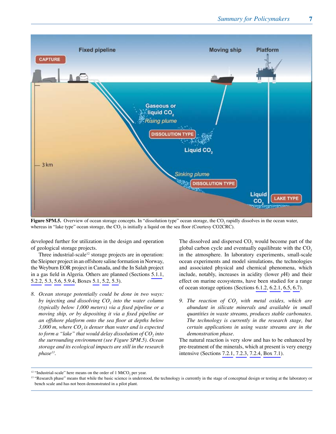<span id="page-6-1"></span><span id="page-6-0"></span>

**Figure SPM.5.** Overview of ocean storage concepts. In "dissolution type" ocean storage, the CO<sub>2</sub> rapidly dissolves in the ocean water, whereas in "lake type" ocean storage, the  $CO<sub>2</sub>$  is initially a liquid on the sea floor (Courtesy CO2CRC).

developed further for utilization in the design and operation of geological storage projects.

Three industrial-scale<sup>12</sup> storage projects are in operation: the Sleipner project in an offshore saline formation in Norway, the Weyburn EOR project in Canada, and the In Salah project in a gas field in Algeria. Others are planned (Sections [5.1.1,](#page-4-1) [5.2.2](#page-13-1), [5.3,](#page-18-0) [5.6](#page-39-0), [5.9.4](#page-66-0), Boxes [5.1](#page-7-1), [5.2,](#page-8-0) [5.3](#page-9-1)).

*8. Ocean storage potentially could be done in two ways: by injecting and dissolving CO<sub>2</sub> into the water column (typically below 1,000 meters) via a fixed pipeline or a moving ship, or by depositing it via a fixed pipeline or an offshore platform onto the sea floor at depths below*  3,000 m, where CO<sub>2</sub> is denser than water and is expected *to form a "lake" that would delay dissolution of CO<sub>2</sub> into the surrounding environment (see Figure SPM.5). Ocean storage and its ecological impacts are still in the research phase13.*

The dissolved and dispersed CO<sub>2</sub> would become part of the global carbon cycle and eventually equilibrate with the CO<sub>2</sub> in the atmosphere. In laboratory experiments, small-scale ocean experiments and model simulations, the technologies and associated physical and chemical phenomena, which include, notably, increases in acidity (lower *p*H) and their effect on marine ecosystems, have been studied for a range of ocean storage options (Sections [6.1.2](#page-4-0), [6.2.1](#page-5-0), [6.5,](#page-18-1) [6.7](#page-21-0)).

9. The reaction of  $CO<sub>2</sub>$  with metal oxides, which are *abundant in silicate minerals and available in small quantities in waste streams, produces stable carbonates. The technology is currently in the research stage, but certain applications in using waste streams are in the demonstration phase.* 

The natural reaction is very slow and has to be enhanced by pre-treatment of the minerals, which at present is very energy intensive (Sections [7.2.1](#page-3-1), [7.2.3](#page-5-1), [7.2.4](#page-5-0), [Box 7.1\)](#page-7-1).

 $12$  "Industrial-scale" here means on the order of 1 MtCO<sub>2</sub> per year.

<sup>13 &</sup>quot;Research phase" means that while the basic science is understood, the technology is currently in the stage of conceptual design or testing at the laboratory or bench scale and has not been demonstrated in a pilot plant.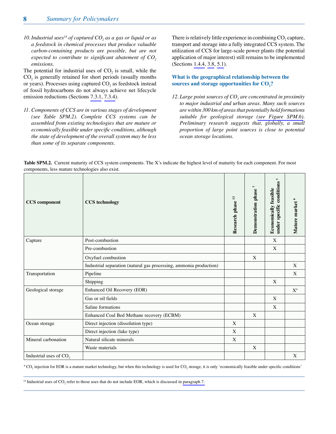<span id="page-7-1"></span><span id="page-7-0"></span>10. Industrial uses<sup>14</sup> of captured  $CO<sub>2</sub>$  as a gas or liquid or as *a feedstock in chemical processes that produce valuable carbon-containing products are possible, but are not expected to contribute to significant abatement of CO*<sub>2</sub> *emissions.*

The potential for industrial uses of  $CO<sub>2</sub>$  is small, while the  $CO<sub>2</sub>$  is generally retained for short periods (usually months or years). Processes using captured  $CO$ , as feedstock instead of fossil hydrocarbons do not always achieve net lifecycle emission reductions (Sections [7.3.1,](#page-11-0) [7.3.4\)](#page-14-0).

*11. Components of CCS are in various stages of development (see Table SPM.2). Complete CCS systems can be assembled from existing technologies that are mature or economically feasible under specific conditions, although the state of development of the overall system may be less than some of its separate components.* 

There is relatively little experience in combining  $CO<sub>2</sub>$  capture, transport and storage into a fully integrated CCS system. The utilization of CCS for large-scale power plants (the potential application of major interest) still remains to be implemented (Sections [1.4.4](#page-10-1), [3.8,](#page-65-0) [5.1](#page-4-1)).

#### **What is the geographical relationship between the**  sources and storage opportunities for CO<sub>2</sub>?

12. Large point sources of CO<sub>2</sub> are concentrated in proximity *to major industrial and urban areas. Many such sources are within 300 km of areas that potentially hold formations suitable for geological storage [\(see Figure SPM.6\)](#page-8-0). Preliminary research suggests that, globally, a small proportion of large point sources is close to potential ocean storage locations.* 

| <b>CCS</b> component               | <b>CCS</b> technology                                              | Research phase <sup>13</sup> | 7<br>Demonstration phase | s.<br>specific conditions<br>Economically feasible<br>under : | Mature market <sup>6</sup> |
|------------------------------------|--------------------------------------------------------------------|------------------------------|--------------------------|---------------------------------------------------------------|----------------------------|
| Capture                            | Post-combustion                                                    |                              |                          | X                                                             |                            |
|                                    | Pre-combustion                                                     |                              |                          | X                                                             |                            |
|                                    | Oxyfuel combustion                                                 |                              | X                        |                                                               |                            |
|                                    | Industrial separation (natural gas processing, ammonia production) |                              |                          |                                                               | X                          |
| Transportation                     | Pipeline                                                           |                              |                          |                                                               | X                          |
|                                    | Shipping                                                           |                              |                          | $\mathbf X$                                                   |                            |
| Geological storage                 | Enhanced Oil Recovery (EOR)                                        |                              |                          |                                                               | $X^a$                      |
|                                    | Gas or oil fields                                                  |                              |                          | X                                                             |                            |
|                                    | Saline formations                                                  |                              |                          | X                                                             |                            |
|                                    | Enhanced Coal Bed Methane recovery (ECBM)                          |                              | X                        |                                                               |                            |
| Ocean storage                      | Direct injection (dissolution type)                                | X                            |                          |                                                               |                            |
|                                    | Direct injection (lake type)                                       | $\mathbf X$                  |                          |                                                               |                            |
| Mineral carbonation                | Natural silicate minerals                                          | X                            |                          |                                                               |                            |
|                                    | Waste materials                                                    |                              | $\mathbf X$              |                                                               |                            |
| Industrial uses of CO <sub>2</sub> |                                                                    |                              |                          |                                                               | X                          |

**Table SPM.2.** Current maturity of CCS system components. The X's indicate the highest level of maturity for each component. For most components, less mature technologies also exist.

 ${}^a$  CO<sub>2</sub> injection for EOR is a mature market technology, but when this technology is used for CO<sub>2</sub> storage, it is only 'economically feasible under specific conditions'

 $14$  Industrial uses of CO<sub>2</sub> refer to those uses that do not include EOR, which is discussed in [paragraph 7.](#page-5-0)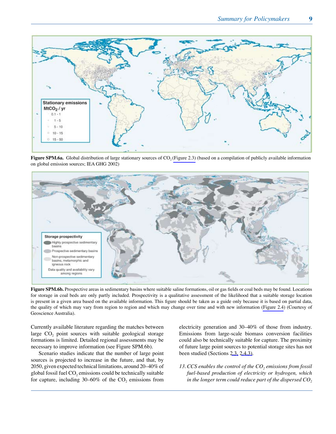<span id="page-8-1"></span><span id="page-8-0"></span>

**Figure SPM.6a.** Global distribution of large stationary sources of CO<sub>2</sub> [\(Figure 2.3\)](#page-9-0) (based on a compilation of publicly available information on global emission sources; IEA GHG 2002)



**Figure SPM.6b.** Prospective areas in sedimentary basins where suitable saline formations, oil or gas fields or coal beds may be found. Locations for storage in coal beds are only partly included. Prospectivity is a qualitative assessment of the likelihood that a suitable storage location is present in a given area based on the available information. This figure should be taken as a guide only because it is based on partial data, the quality of which may vary from region to region and which may change over time and with new information [\(Figure 2.4](#page-19-0)) (Courtesy of Geoscience Australia).

Currently available literature regarding the matches between large CO<sub>2</sub> point sources with suitable geological storage formations is limited. Detailed regional assessments may be necessary to improve information (see Figure SPM.6b).

Scenario studies indicate that the number of large point sources is projected to increase in the future, and that, by 2050, given expected technical limitations, around 20–40% of global fossil fuel  $CO<sub>2</sub>$  emissions could be technically suitable for capture, including 30–60% of the  $CO<sub>2</sub>$  emissions from

electricity generation and 30–40% of those from industry. Emissions from large-scale biomass conversion facilities could also be technically suitable for capture. The proximity of future large point sources to potential storage sites has not been studied (Sections 2.3, [2.4.3\)](#page-14-0).

13. CCS enables the control of the CO<sub>2</sub> emissions from fossil *fuel-based production of electricity or hydrogen, which in the longer term could reduce part of the dispersed CO<sub>2</sub>*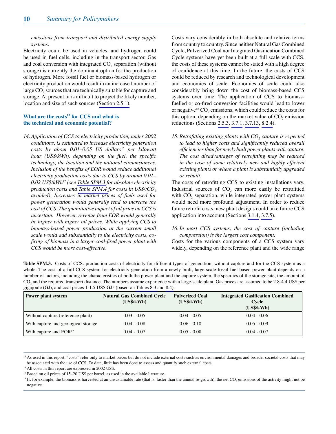<span id="page-9-1"></span><span id="page-9-0"></span>*emissions from transport and distributed energy supply systems.* 

Electricity could be used in vehicles, and hydrogen could be used in fuel cells, including in the transport sector. Gas and coal conversion with integrated  $CO<sub>2</sub>$  separation (without storage) is currently the dominant option for the production of hydrogen. More fossil fuel or biomass-based hydrogen or electricity production would result in an increased number of large CO<sub>2</sub> sources that are technically suitable for capture and storage. At present, it is difficult to project the likely number, location and size of such sources ([Section 2.5.1\).](#page-23-0)

#### What are the costs<sup>15</sup> for CCS and what is **the technical and economic potential?**

*14. Application of CCS to electricity production, under 2002 conditions, is estimated to increase electricity generation costs by about 0.01*–*0.05 US dollars16 per kilowatt hour (US\$/kWh), depending on the fuel, the specific technology, the location and the national circumstances. Inclusion of the benefits of EOR would reduce additional electricity production costs due to CCS by around 0.01*– *0.02 US\$/kWh17 (see Table SPM.3 for absolute electricity production costs and [Table SPM.4](#page-10-0) for costs in US\$/tCO<sub>2</sub> avoided). Increases in market prices of fuels used for power generation would generally tend to increase the cost of CCS. The quantitative impact of oil price on CCS is uncertain. However, revenue from EOR would generally be higher with higher oil prices. While applying CCS to biomass-based power production at the current small scale would add substantially to the electricity costs, cofiring of biomass in a larger coal-fired power plant with CCS would be more cost-effective.*

Costs vary considerably in both absolute and relative terms from country to country. Since neither Natural Gas Combined Cycle, Pulverized Coal nor Integrated Gasification Combined Cycle systems have yet been built at a full scale with CCS, the costs of these systems cannot be stated with a high degree of confidence at this time. In the future, the costs of CCS could be reduced by research and technological development and economies of scale. Economies of scale could also considerably bring down the cost of biomass-based CCS systems over time. The application of CCS to biomassfuelled or co-fired conversion facilities would lead to lower or negative<sup>18</sup> CO<sub>2</sub> emissions, which could reduce the costs for this option, depending on the market value of  $CO<sub>2</sub>$  emission reductions (Sections [2.5.3,](#page-25-1) [3.7.1,](#page-41-0) [3.7.13,](#page-63-0) [8.2.4\)](#page-7-1).

15. Retrofitting existing plants with CO<sub>2</sub> capture is expected *to lead to higher costs and significantly reduced overall efficiencies than for newly built power plants with capture. The cost disadvantages of retrofitting may be reduced in the case of some relatively new and highly efficient existing plants or where a plant is substantially upgraded or rebuilt.* 

The costs of retrofitting CCS to existing installations vary. Industrial sources of  $CO$ , can more easily be retrofitted with  $CO<sub>2</sub>$  separation, while integrated power plant systems would need more profound adjustment. In order to reduce future retrofit costs, new plant designs could take future CCS application into account (Sections [3.1.4](#page-5-0), [3.7.5](#page-45-0)).

#### *16. In most CCS systems, the cost of capture (including compression) is the largest cost component.*

Costs for the various components of a CCS system vary widely, depending on the reference plant and the wide range

**Table SPM.3.** Costs of CCS: production costs of electricity for different types of generation, without capture and for the CCS system as a whole. The cost of a full CCS system for electricity generation from a newly built, large-scale fossil fuel-based power plant depends on a number of factors, including the characteristics of both the power plant and the capture system, the specifics of the storage site, the amount of CO2 and the required transport distance. The numbers assume experience with a large-scale plant. Gas prices are assumed to be 2.8-4.4 US\$ per gigajoule (GJ), and coal prices 1-1.5 US\$ GJ-1 (based on [Tables 8.3 a](#page-8-1)nd 8.4).

| Power plant system                  | <b>Natural Gas Combined Cycle</b><br>(US\$/kWh) | <b>Pulverized Coal</b><br>(US\$/kWh) | <b>Integrated Gasification Combined</b><br>Cycle<br>(US\$/kWh) |
|-------------------------------------|-------------------------------------------------|--------------------------------------|----------------------------------------------------------------|
| Without capture (reference plant)   | $0.03 - 0.05$                                   | $0.04 - 0.05$                        | $0.04 - 0.06$                                                  |
| With capture and geological storage | $0.04 - 0.08$                                   | $0.06 - 0.10$                        | $0.05 - 0.09$                                                  |
| With capture and $EOR17$            | $0.04 - 0.07$                                   | $0.05 - 0.08$                        | $0.04 - 0.07$                                                  |

<sup>&</sup>lt;sup>15</sup> As used in this report, "costs" refer only to market prices but do not include external costs such as environmental damages and broader societal costs that may be associated with the use of CCS. To date, little has been done to assess and quantify such external costs.

<sup>&</sup>lt;sup>16</sup> All costs in this report are expressed in 2002 US\$.

<sup>17</sup> Based on oil prices of 15–20 US\$ per barrel, as used in the available literature.

 $18$  If, for example, the biomass is harvested at an unsustainable rate (that is, faster than the annual re-growth), the net  $CO_2$  emissions of the activity might not be negative.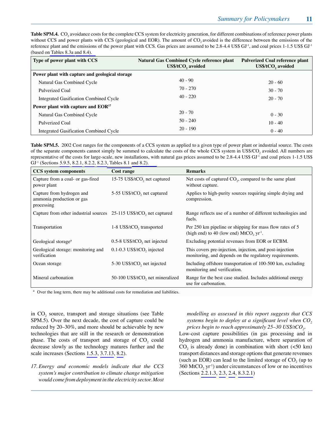<span id="page-10-1"></span><span id="page-10-0"></span>Table SPM.4. CO<sub>2</sub> avoidance costs for the complete CCS system for electricity generation, for different combinations of reference power plants without CCS and power plants with CCS (geological and EOR). The amount of CO<sub>2</sub> avoided is the difference between the emissions of the reference plant and the emissions of the power plant with CCS. Gas prices are assumed to be 2.8-4.4 US\$ GJ-1, and coal prices 1-1.5 US\$ GJ-1 (based on [Tables 8.3a](#page-8-1) [and 8.4\).](#page-9-0)

| Type of power plant with CCS                    | <b>Natural Gas Combined Cycle reference plant</b><br>US\$/tCO, avoided | <b>Pulverized Coal reference plant</b><br>US\$/tCO, avoided |
|-------------------------------------------------|------------------------------------------------------------------------|-------------------------------------------------------------|
| Power plant with capture and geological storage |                                                                        |                                                             |
| Natural Gas Combined Cycle                      | $40 - 90$                                                              | $20 - 60$                                                   |
| Pulverized Coal                                 | $70 - 270$                                                             | $30 - 70$                                                   |
| Integrated Gasification Combined Cycle          | $40 - 220$                                                             | $20 - 70$                                                   |
| Power plant with capture and EOR <sup>17</sup>  |                                                                        |                                                             |
| Natural Gas Combined Cycle                      | $20 - 70$                                                              | $0 - 30$                                                    |
| Pulverized Coal                                 | $50 - 240$                                                             | $10 - 40$                                                   |
| Integrated Gasification Combined Cycle          | $20 - 190$                                                             | $0 - 40$                                                    |

Table SPM.5. 2002 Cost ranges for the components of a CCS system as applied to a given type of power plant or industrial source. The costs of the separate components cannot simply be summed to calculate the costs of the whole CCS system in US\$/CO<sub>2</sub> avoided. All numbers are representative of the costs for large-scale, new installations, with natural gas prices assumed to be 2.8-4.4 US\$ GJ-1 and coal prices 1-1.5 US\$ GJ-1 (Sections [5.9.5,](#page-68-0) [8.2.1,](#page-3-0) [8.2.2](#page-5-0), [8.2.3](#page-6-1)[, Tables 8.1](#page-4-0) [and 8.2\).](#page-7-0) 

| <b>CCS</b> system components                                         | <b>Cost range</b>                          | <b>Remarks</b>                                                                                                      |
|----------------------------------------------------------------------|--------------------------------------------|---------------------------------------------------------------------------------------------------------------------|
| Capture from a coal- or gas-fired<br>power plant                     | 15-75 US\$/tCO <sub>2</sub> net captured   | Net costs of captured $CO2$ , compared to the same plant<br>without capture.                                        |
| Capture from hydrogen and<br>ammonia production or gas<br>processing | 5-55 US\$/tCO, net captured                | Applies to high-purity sources requiring simple drying and<br>compression.                                          |
| Capture from other industrial sources 25-115 US\$/tCO, net captured  |                                            | Range reflects use of a number of different technologies and<br>fuels.                                              |
| Transportation                                                       | 1-8 US\$/tCO <sub>2</sub> transported      | Per 250 km pipeline or shipping for mass flow rates of 5<br>(high end) to 40 (low end) MtCO, $yr-1$ .               |
| Geological storage <sup>a</sup>                                      | $0.5-8$ US\$/tCO, net injected             | Excluding potential revenues from EOR or ECBM.                                                                      |
| Geological storage: monitoring and<br>verification                   | $0.1 - 0.3$ US\$/tCO <sub>2</sub> injected | This covers pre-injection, injection, and post-injection<br>monitoring, and depends on the regulatory requirements. |
| Ocean storage                                                        | 5-30 US\$/tCO, net injected                | Including offshore transportation of 100-500 km, excluding<br>monitoring and verification.                          |
| Mineral carbonation                                                  | 50-100 US\$/tCO, net mineralized           | Range for the best case studied. Includes additional energy<br>use for carbonation.                                 |

<sup>a</sup> Over the long term, there may be additional costs for remediation and liabilities.

in CO<sub>2</sub> source, transport and storage situations (see Table SPM.5). Over the next decade, the cost of capture could be reduced by 20–30%, and more should be achievable by new technologies that are still in the research or demonstration phase. The costs of transport and storage of CO<sub>2</sub> could decrease slowly as the technology matures further and the scale increases (Sections [1.5.3,](#page-11-0) [3.7.13,](#page-63-0) [8.2](#page-3-0)).

*17. Energy and economic models indicate that the CCS system's major contribution to climate change mitigation would come from deployment in the electricity sector. Most* 

#### *modelling as assessed in this report suggests that CCS systems begin to deploy at a significant level when CO<sup>2</sup> prices begin to reach approximately 25–30 US\$/tCO<sub>2</sub>.*

Low-cost capture possibilities (in gas processing and in hydrogen and ammonia manufacture, where separation of  $CO<sub>2</sub>$  is already done) in combination with short ( $<50$  km) transport distances and storage options that generate revenues (such as EOR) can lead to the limited storage of  $CO$ , (up to  $360$  MtCO<sub>2</sub> yr<sup>-1</sup>) under circumstances of low or no incentives (Sections [2.2.1.3,](#page--1-0) [2.3](#page-8-1), [2.4,](#page-14-0) [8.3.2.1](#page--1-0))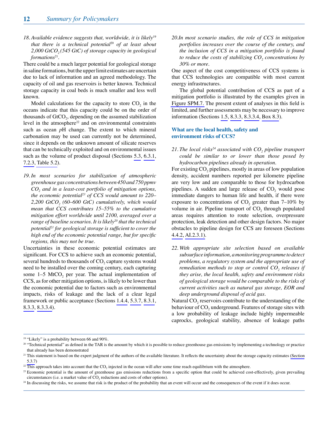<span id="page-11-0"></span>*18. Available evidence suggests that, worldwide, it is likely*<sup>19</sup> *that there is a technical potential*<sup>20</sup> *of at least about*  2,000 GtCO<sub>2</sub> (545 GtC) of storage capacity in geological *formations*<sup>21</sup>.

There could be a much larger potential for geological storage in saline formations, but the upper limit estimates are uncertain due to lack of information and an agreed methodology. The capacity of oil and gas reservoirs is better known. Technical storage capacity in coal beds is much smaller and less well known.

Model calculations for the capacity to store  $CO<sub>2</sub>$  in the oceans indicate that this capacity could be on the order of thousands of GtCO<sub>2</sub>, depending on the assumed stabilization level in the atmosphere<sup>22</sup> and on environmental constraints such as ocean *p*H change. The extent to which mineral carbonation may be used can currently not be determined, since it depends on the unknown amount of silicate reserves that can be technically exploited and on environmental issues such as the volume of product disposal (Sections [5.3,](#page-18-0) [6.3.1](#page-14-0), [7.2.3,](#page-5-0) [Table 5.2](#page-26-0)).

*19. In most scenarios for stabilization of atmospheric greenhouse gas concentrations between 450 and 750 ppmv CO2 and in a least-cost portfolio of mitigation options, the economic potential23 of CCS would amount to 220*– *2,200 GtCO2 (60*–*600 GtC) cumulatively, which would mean that CCS contributes 15*–*55% to the cumulative mitigation effort worldwide until 2100, averaged over a range of baseline scenarios. It is likely20 that the technical potential21 for geological storage is sufficient to cover the high end of the economic potential range, but for specific regions, this may not be true.* 

Uncertainties in these economic potential estimates are significant. For CCS to achieve such an economic potential, several hundreds to thousands of CO<sub>2</sub> capture systems would need to be installed over the coming century, each capturing some  $1-5$  MtCO<sub>2</sub> per year. The actual implementation of CCS, as for other mitigation options, is likely to be lower than the economic potential due to factors such as environmental impacts, risks of leakage and the lack of a clear legal framework or public acceptance (Sections [1.4.4](#page-10-1), [5.3.7](#page-25-0), [8.3.1](#page-9-0), [8.3.3,](#page-13-1) [8.3.3.4](#page--1-0)).

*20.In most scenario studies, the role of CCS in mitigation portfolios increases over the course of the century, and the inclusion of CCS in a mitigation portfolio is found to reduce the costs of stabilizing CO<sub>2</sub> concentrations by 30% or more.* 

One aspect of the cost competitiveness of CCS systems is that CCS technologies are compatible with most current energy infrastructures.

The global potential contribution of CCS as part of a mitigation portfolio is illustrated by the examples given in [Figure SPM.7.](#page-12-0) The present extent of analyses in this field is limited, and further assessments may be necessary to improve information (Sections [1.5,](#page-10-1) [8.3.3,](#page-13-0) [8.3.3.4](#page-19-0), [Box 8.3](#page-14-0)).

#### **What are the local health, safety and environment risks of CCS?**

21. The local risks<sup>24</sup> associated with CO<sub>2</sub> pipeline transport *could be similar to or lower than those posed by hydrocarbon pipelines already in operation.*

For existing CO<sub>2</sub> pipelines, mostly in areas of low population density, accident numbers reported per kilometre pipeline are very low and are comparable to those for hydrocarbon pipelines. A sudden and large release of  $CO$ , would pose immediate dangers to human life and health, if there were exposure to concentrations of  $CO$ , greater than  $7-10\%$  by volume in air. Pipeline transport of  $CO<sub>2</sub>$  through populated areas requires attention to route selection, overpressure protection, leak detection and other design factors. No major obstacles to pipeline design for CCS are foreseen (Sections [4.4.2,](#page-8-0) [AI.2.3.](#page--1-0)[1\).](#page-8-1)

*22. With appropriate site selection based on available subsurface information, a monitoring programme to detect problems, a regulatory system and the appropriate use of remediation methods to stop or control CO<sub>2</sub> releases if they arise, the local health, safety and environment risks of geological storage would be comparable to the risks of current activities such as natural gas storage, EOR and deep underground disposal of acid gas.*

Natural CO<sub>2</sub> reservoirs contribute to the understanding of the behaviour of CO<sub>2</sub> underground. Features of storage sites with a low probability of leakage include highly impermeable caprocks, geological stability, absence of leakage paths

<sup>&</sup>lt;sup>19</sup> "Likely" is a probability between 66 and 90%.

<sup>&</sup>lt;sup>20</sup> "Technical potential" as defined in the TAR is the amount by which it is possible to reduce greenhouse gas emissions by implementing a technology or practice that already has been demonstrated

<sup>&</sup>lt;sup>21</sup> This statement is based on the expert judgment of the authors of the available literature. It reflects the uncertainty about the storage capacity estimates [\(Section](#page-25-0) [5.3.7](#page-25-0))

 $^{22}$  This approach takes into account that the CO<sub>2</sub> injected in the ocean will after some time reach equilibrium with the atmosphere.

<sup>&</sup>lt;sup>23</sup> Economic potential is the amount of greenhouse gas emissions reductions from a specific option that could be achieved cost-effectively, given prevailing aircumstance (i.e. a merket value of CO, reductions and easts o circumstances (i.e. a market value of  $CO<sub>2</sub>$  reductions and costs of other options).

<sup>&</sup>lt;sup>24</sup> In discussing the risks, we assume that risk is the product of the probability that an event will occur and the consequences of the event if it does occur.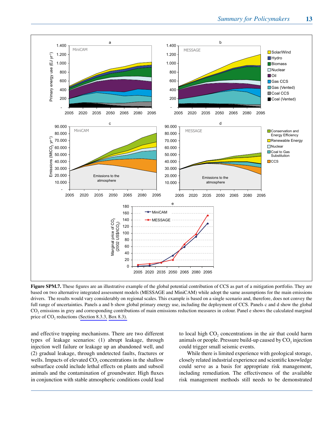<span id="page-12-0"></span>

Figure SPM.7. These figures are an illustrative example of the global potential contribution of CCS as part of a mitigation portfolio. They are based on two alternative integrated assessment models (MESSAGE and MiniCAM) while adopt the same assumptions for the main emissions drivers. The results would vary considerably on regional scales. This example is based on a single scenario and, therefore, does not convey the full range of uncertainties. Panels a and b show global primary energy use, including the deployment of CCS. Panels c and d show the global CO2 emissions in grey and corresponding contributions of main emissions reduction measures in colour. Panel e shows the calculated marginal price of  $CO<sub>2</sub>$  reductions [\(Section 8.3.3,](#page-13-0) [Box 8.3\).](#page-14-0)

and effective trapping mechanisms. There are two different types of leakage scenarios: (1) abrupt leakage, through injection well failure or leakage up an abandoned well, and (2) gradual leakage, through undetected faults, fractures or wells. Impacts of elevated CO<sub>2</sub> concentrations in the shallow subsurface could include lethal effects on plants and subsoil animals and the contamination of groundwater. High fluxes in conjunction with stable atmospheric conditions could lead to local high CO<sub>2</sub> concentrations in the air that could harm animals or people. Pressure build-up caused by CO<sub>2</sub> injection could trigger small seismic events.

While there is limited experience with geological storage, closely related industrial experience and scientific knowledge could serve as a basis for appropriate risk management, including remediation. The effectiveness of the available risk management methods still needs to be demonstrated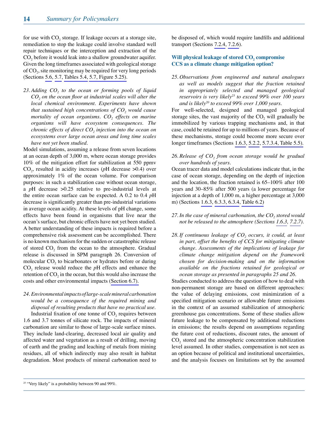<span id="page-13-1"></span><span id="page-13-0"></span>for use with CO<sub>2</sub> storage. If leakage occurs at a storage site, remediation to stop the leakage could involve standard well repair techniques or the interception and extraction of the CO<sub>2</sub> before it would leak into a shallow groundwater aquifer. Given the long timeframes associated with geological storage of  $CO<sub>2</sub>$ , site monit[oring may b](#page-30-0)e required for very long periods (Sections [5.6,](#page-39-1) [5.7](#page-47-0), Tables 5.4, [5.7, Figure 5.25\).](#page-47-0)

23. Adding CO<sub>2</sub> to the ocean or forming pools of liquid *CO<sub>2</sub>* on the ocean floor at industrial scales will alter the *local chemical environment. Experiments have shown that sustained high concentrations of CO<sub>2</sub> would cause mortality of ocean organisms. CO<sub>2</sub> effects on marine organisms will have ecosystem consequences. The chronic effects of direct CO<sub>2</sub> injection into the ocean on ecosystems over large ocean areas and long time scales have not yet been studied.* 

Model simulations, assuming a release from seven locations at an ocean depth of 3,000 m, where ocean storage provides 10% of the mitigation effort for stabilization at 550 ppmv CO<sub>2</sub>, resulted in acidity increases (pH decrease >0.4) over approximately 1% of the ocean volume. For comparison purposes: in such a stabilization case without ocean storage, a *p*H decrease >0.25 relative to pre-industrial levels at the entire ocean surface can be expected. A 0.2 to 0.4 *p*H decrease is significantly greater than pre-industrial variations in average ocean acidity. At these levels of pH change, some effects have been found in organisms that live near the ocean's surface, but chronic effects have not yet been studied. A better understanding of these impacts is required before a comprehensive risk assessment can be accomplished. There is no known mechanism for the sudden or catastrophic release of stored CO<sub>2</sub> from the ocean to the atmosphere. Gradual release is discussed in SPM paragraph 26. Conversion of molecular CO<sub>2</sub> to bicarbonates or hydrates before or during  $CO<sub>2</sub>$  release would reduce the  $pH$  effects and enhance the retention of  $CO<sub>2</sub>$  in the ocean, but this would also increase the costs and other environmental impacts [\(Section 6.7\).](#page-21-1)

*24. Environmental impacts of large-scale mineral carbonation would be a consequence of the required mining and disposal of resulting products that have no practical use.*  Industrial fixation of one tonne of  $CO<sub>2</sub>$  requires between 1.6 and 3.7 tonnes of silicate rock. The impacts of mineral carbonation are similar to those of large-scale surface mines. They include land-clearing, decreased local air quality and affected water and vegetation as a result of drilling, moving of earth and the grading and leaching of metals from mining residues, all of which indirectly may also result in habitat

degradation. Most products of mineral carbonation need to

be disposed of, which would require landfills and additional transport (Sections [7.2.4,](#page-5-0) [7.2.6\)](#page-9-0).

#### **Will physical leakage of stored CO<sub>2</sub> compromise CCS as a climate change mitigation option?**

*25. Observations from engineered and natural analogues as well as models suggest that the fraction retained in appropriately selected and managed geological reservoirs is very likely25 to exceed 99% over 100 years and is likely20 to exceed 99% over 1,000 years.* 

For well-selected, designed and managed geological storage sites, the vast majority of the CO<sub>2</sub> will gradually be immobilized by various trapping mechanisms and, in that case, could be retained for up to millions of years. Because of these mechanisms, storage could become more secure over longer timeframes (Sections [1.6.3](#page-14-0), 5.2.2, [5.7.3.4](#page-50-0)[, Table 5.5\).](#page-52-0)

26. Release of CO<sub>2</sub> from ocean storage would be gradual *over hundreds of years.*

Ocean tracer data and model calculations indicate that, in the case of ocean storage, depending on the depth of injection and the location, the fraction retained is 65–100% after 100 years and 30–85% after 500 years (a lower percentage for injection at a depth of 1,000 m, a higher percentage at 3,000 m) (Sections [1.6.3](#page-14-0), [6.3.3, 6.3.4](#page-15-0), [Table 6.2\)](#page-16-0)

- 27. In the case of mineral carbonation, the CO<sub>2</sub> stored would *not be released to the atmosphere (Sections [1.6.3](#page-14-0), [7.2.7](#page-10-1)).*
- 28. If continuous leakage of CO<sub>2</sub> occurs, it could, at least *in part, offset the benefits of CCS for mitigating climate change. Assessments of the implications of leakage for climate change mitigation depend on the framework chosen for decision-making and on the information available on the fractions retained for geological or ocean storage as presented in paragraphs 25 and 26.*

Studies conducted to address the question of how to deal with non-permanent storage are based on different approaches: the value of delaying emissions, cost minimization of a specified mitigation scenario or allowable future emissions in the context of an assumed stabilization of atmospheric greenhouse gas concentrations. Some of these studies allow future leakage to be compensated by additional reductions in emissions; the results depend on assumptions regarding the future cost of reductions, discount rates, the amount of  $CO<sub>2</sub>$  stored and the atmospheric concentration stabilization level assumed. In other studies, compensation is not seen as an option because of political and institutional uncertainties, and the analysis focuses on limitations set by the assumed

<sup>&</sup>lt;sup>25</sup> "Very likely" is a probability between 90 and 99%.